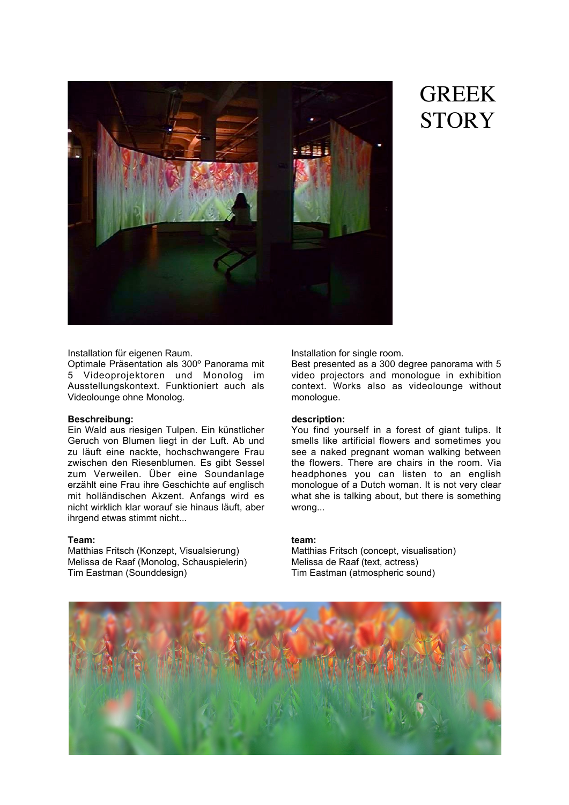

# GREEK **STORY**

Installation für eigenen Raum.

Optimale Präsentation als 300º Panorama mit 5 Videoprojektoren und Monolog im Ausstellungskontext. Funktioniert auch als Videolounge ohne Monolog.

### **Beschreibung:**

Ein Wald aus riesigen Tulpen. Ein künstlicher Geruch von Blumen liegt in der Luft. Ab und zu läuft eine nackte, hochschwangere Frau zwischen den Riesenblumen. Es gibt Sessel zum Verweilen. Über eine Soundanlage erzählt eine Frau ihre Geschichte auf englisch mit holländischen Akzent. Anfangs wird es nicht wirklich klar worauf sie hinaus läuft, aber ihrgend etwas stimmt nicht...

### **Team:**

Matthias Fritsch (Konzept, Visualsierung) Melissa de Raaf (Monolog, Schauspielerin) Tim Eastman (Sounddesign)

Installation for single room.

Best presented as a 300 degree panorama with 5 video projectors and monologue in exhibition context. Works also as videolounge without monologue.

## **description:**

You find yourself in a forest of giant tulips. It smells like artificial flowers and sometimes you see a naked pregnant woman walking between the flowers. There are chairs in the room. Via headphones you can listen to an english monologue of a Dutch woman. It is not very clear what she is talking about, but there is something wrong...

## **team:**

Matthias Fritsch (concept, visualisation) Melissa de Raaf (text, actress) Tim Eastman (atmospheric sound)

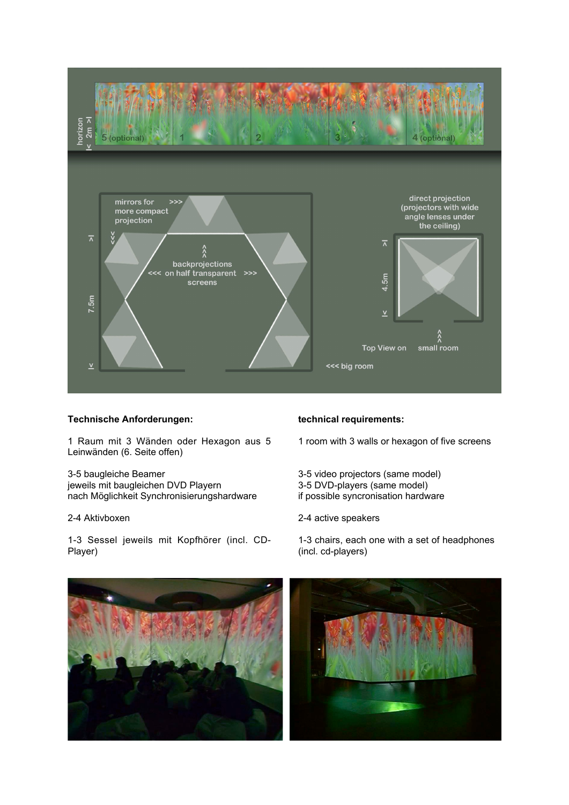

## **Technische Anforderungen:**

1 Raum mit 3 Wänden oder Hexagon aus 5 Leinwänden (6. Seite offen)

3-5 baugleiche Beamer jeweils mit baugleichen DVD Playern nach Möglichkeit Synchronisierungshardware

## 2-4 Aktivboxen

1-3 Sessel jeweils mit Kopfhörer (incl. CD-Player)

### **technical requirements:**

1 room with 3 walls or hexagon of five screens

- 3-5 video projectors (same model) 3-5 DVD-players (same model) if possible syncronisation hardware
- 2-4 active speakers

1-3 chairs, each one with a set of headphones (incl. cd-players)